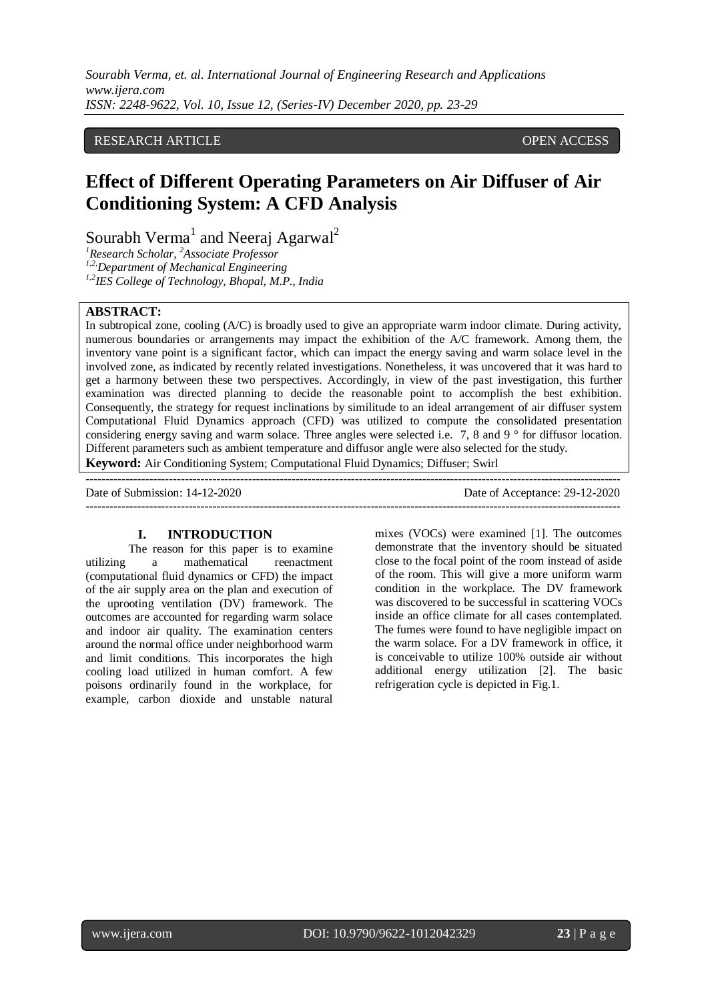## RESEARCH ARTICLE **CONTRACT ARTICLE** AND A SERVICE OPEN ACCESS OPEN ACCESS

# **Effect of Different Operating Parameters on Air Diffuser of Air Conditioning System: A CFD Analysis**

Sourabh Verma<sup>1</sup> and Neeraj Agarwal<sup>2</sup>

*<sup>1</sup>Research Scholar, <sup>2</sup>Associate Professor*

*1,2,Department of Mechanical Engineering*

*1,2IES College of Technology, Bhopal, M.P., India*

### **ABSTRACT:**

In subtropical zone, cooling (A/C) is broadly used to give an appropriate warm indoor climate. During activity, numerous boundaries or arrangements may impact the exhibition of the A/C framework. Among them, the inventory vane point is a significant factor, which can impact the energy saving and warm solace level in the involved zone, as indicated by recently related investigations. Nonetheless, it was uncovered that it was hard to get a harmony between these two perspectives. Accordingly, in view of the past investigation, this further examination was directed planning to decide the reasonable point to accomplish the best exhibition. Consequently, the strategy for request inclinations by similitude to an ideal arrangement of air diffuser system Computational Fluid Dynamics approach (CFD) was utilized to compute the consolidated presentation considering energy saving and warm solace. Three angles were selected i.e. 7, 8 and 9 ° for diffusor location. Different parameters such as ambient temperature and diffusor angle were also selected for the study.

**Keyword:** Air Conditioning System; Computational Fluid Dynamics; Diffuser; Swirl

--------------------------------------------------------------------------------------------------------------------------------------- Date of Submission: 14-12-2020 Date of Acceptance: 29-12-2020 ---------------------------------------------------------------------------------------------------------------------------------------

## **I. INTRODUCTION**

The reason for this paper is to examine utilizing a mathematical reenactment (computational fluid dynamics or CFD) the impact of the air supply area on the plan and execution of the uprooting ventilation (DV) framework. The outcomes are accounted for regarding warm solace and indoor air quality. The examination centers around the normal office under neighborhood warm and limit conditions. This incorporates the high cooling load utilized in human comfort. A few poisons ordinarily found in the workplace, for example, carbon dioxide and unstable natural

mixes (VOCs) were examined [1]. The outcomes demonstrate that the inventory should be situated close to the focal point of the room instead of aside of the room. This will give a more uniform warm condition in the workplace. The DV framework was discovered to be successful in scattering VOCs inside an office climate for all cases contemplated. The fumes were found to have negligible impact on the warm solace. For a DV framework in office, it is conceivable to utilize 100% outside air without additional energy utilization [2]. The basic refrigeration cycle is depicted in Fig.1.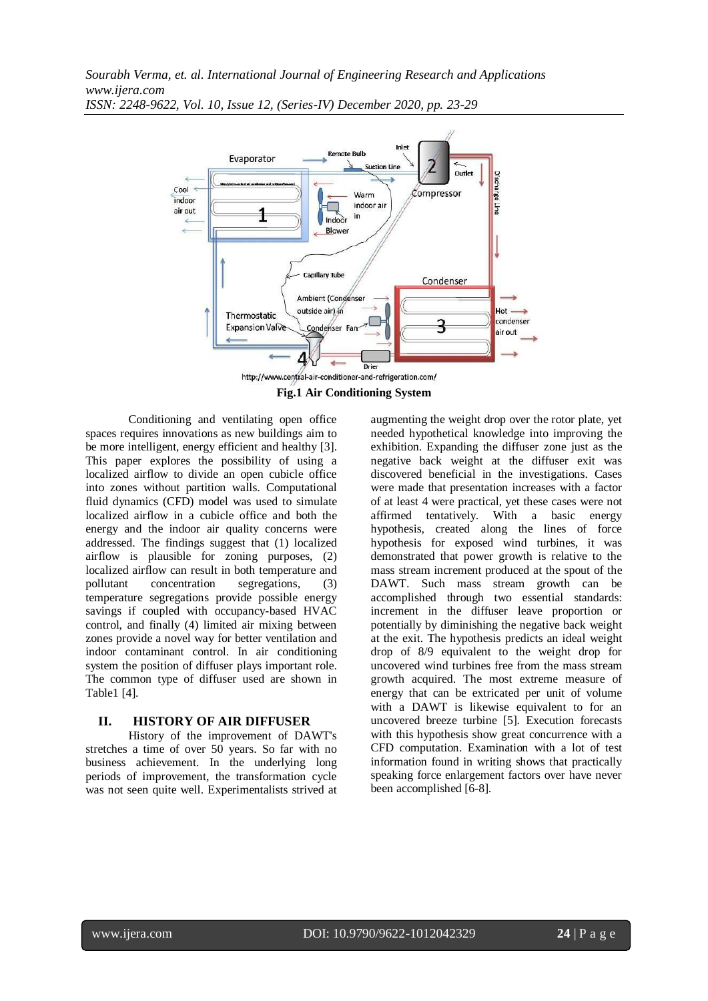

**Fig.1 Air Conditioning System**

Conditioning and ventilating open office spaces requires innovations as new buildings aim to be more intelligent, energy efficient and healthy [3]. This paper explores the possibility of using a localized airflow to divide an open cubicle office into zones without partition walls. Computational fluid dynamics (CFD) model was used to simulate localized airflow in a cubicle office and both the energy and the indoor air quality concerns were addressed. The findings suggest that (1) localized airflow is plausible for zoning purposes, (2) localized airflow can result in both temperature and pollutant concentration segregations, (3) temperature segregations provide possible energy savings if coupled with occupancy-based HVAC control, and finally (4) limited air mixing between zones provide a novel way for better ventilation and indoor contaminant control. In air conditioning system the position of diffuser plays important role. The common type of diffuser used are shown in Table1 [4].

# **II. HISTORY OF AIR DIFFUSER**

History of the improvement of DAWT's stretches a time of over 50 years. So far with no business achievement. In the underlying long periods of improvement, the transformation cycle was not seen quite well. Experimentalists strived at augmenting the weight drop over the rotor plate, yet needed hypothetical knowledge into improving the exhibition. Expanding the diffuser zone just as the negative back weight at the diffuser exit was discovered beneficial in the investigations. Cases were made that presentation increases with a factor of at least 4 were practical, yet these cases were not affirmed tentatively. With a basic energy hypothesis, created along the lines of force hypothesis for exposed wind turbines, it was demonstrated that power growth is relative to the mass stream increment produced at the spout of the DAWT. Such mass stream growth can be accomplished through two essential standards: increment in the diffuser leave proportion or potentially by diminishing the negative back weight at the exit. The hypothesis predicts an ideal weight drop of 8/9 equivalent to the weight drop for uncovered wind turbines free from the mass stream growth acquired. The most extreme measure of energy that can be extricated per unit of volume with a DAWT is likewise equivalent to for an uncovered breeze turbine [5]. Execution forecasts with this hypothesis show great concurrence with a CFD computation. Examination with a lot of test information found in writing shows that practically speaking force enlargement factors over have never been accomplished [6-8].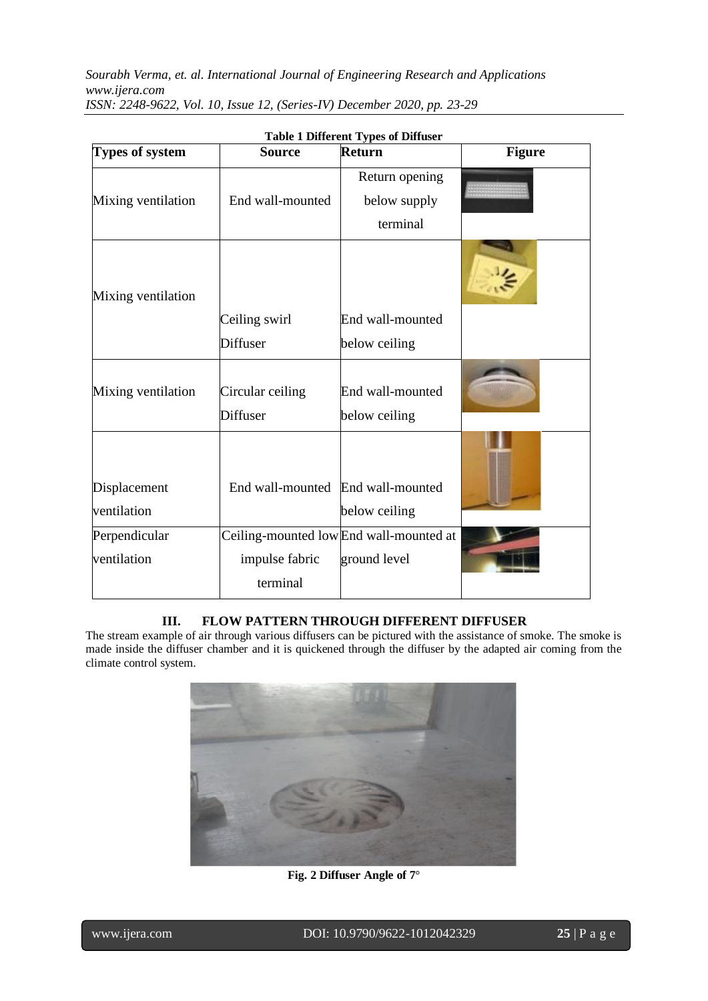| <b>Types of system</b>      | <b>Source</b>                     | Table 1 Different 1 year of Diffuser<br><b>Return</b> | <b>Figure</b> |
|-----------------------------|-----------------------------------|-------------------------------------------------------|---------------|
|                             |                                   | Return opening                                        |               |
| Mixing ventilation          | End wall-mounted                  | below supply                                          |               |
|                             |                                   | terminal                                              |               |
| Mixing ventilation          |                                   |                                                       |               |
|                             | Ceiling swirl                     | End wall-mounted                                      |               |
|                             | <b>Diffuser</b>                   | below ceiling                                         |               |
| Mixing ventilation          | Circular ceiling<br>Diffuser      | End wall-mounted<br>below ceiling                     |               |
| Displacement<br>ventilation | End wall-mounted End wall-mounted | below ceiling                                         |               |
| Perpendicular               |                                   | Ceiling-mounted lowEnd wall-mounted at                |               |
| ventilation                 | impulse fabric                    | ground level                                          |               |
|                             | terminal                          |                                                       |               |

# **III. FLOW PATTERN THROUGH DIFFERENT DIFFUSER**

The stream example of air through various diffusers can be pictured with the assistance of smoke. The smoke is made inside the diffuser chamber and it is quickened through the diffuser by the adapted air coming from the climate control system.



**Fig. 2 Diffuser Angle of 7**°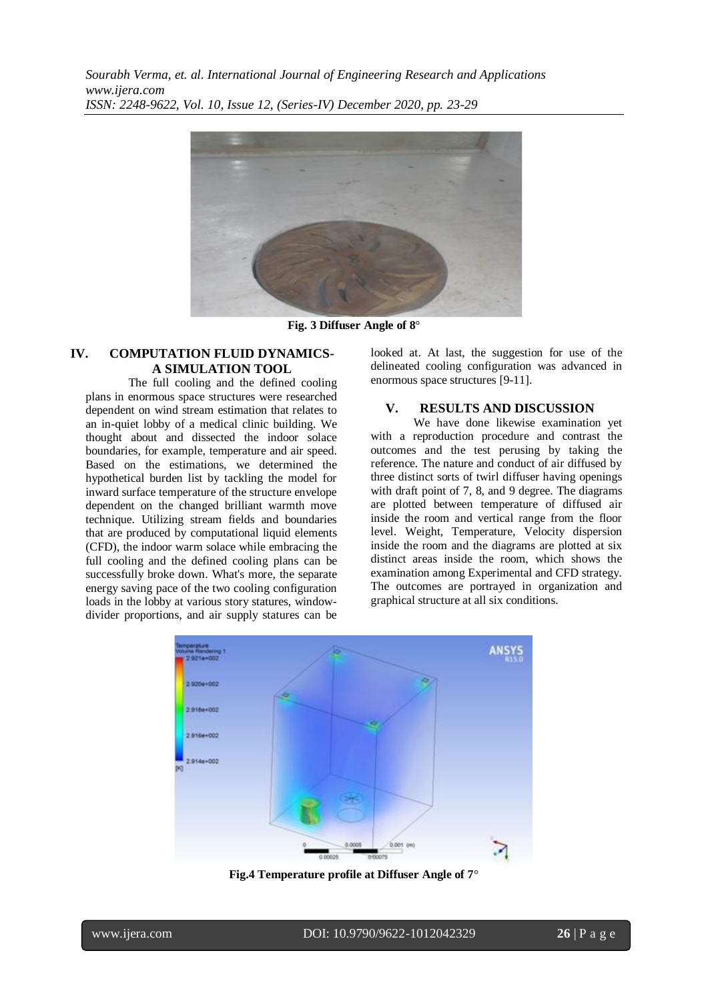

**Fig. 3 Diffuser Angle of 8**°

#### **IV. COMPUTATION FLUID DYNAMICS-A SIMULATION TOOL**

The full cooling and the defined cooling plans in enormous space structures were researched dependent on wind stream estimation that relates to an in-quiet lobby of a medical clinic building. We thought about and dissected the indoor solace boundaries, for example, temperature and air speed. Based on the estimations, we determined the hypothetical burden list by tackling the model for inward surface temperature of the structure envelope dependent on the changed brilliant warmth move technique. Utilizing stream fields and boundaries that are produced by computational liquid elements (CFD), the indoor warm solace while embracing the full cooling and the defined cooling plans can be successfully broke down. What's more, the separate energy saving pace of the two cooling configuration loads in the lobby at various story statures, windowdivider proportions, and air supply statures can be

looked at. At last, the suggestion for use of the delineated cooling configuration was advanced in enormous space structures [9-11].

#### **V. RESULTS AND DISCUSSION**

We have done likewise examination yet with a reproduction procedure and contrast the outcomes and the test perusing by taking the reference. The nature and conduct of air diffused by three distinct sorts of twirl diffuser having openings with draft point of 7, 8, and 9 degree. The diagrams are plotted between temperature of diffused air inside the room and vertical range from the floor level. Weight, Temperature, Velocity dispersion inside the room and the diagrams are plotted at six distinct areas inside the room, which shows the examination among Experimental and CFD strategy. The outcomes are portrayed in organization and graphical structure at all six conditions.



**Fig.4 Temperature profile at Diffuser Angle of 7**°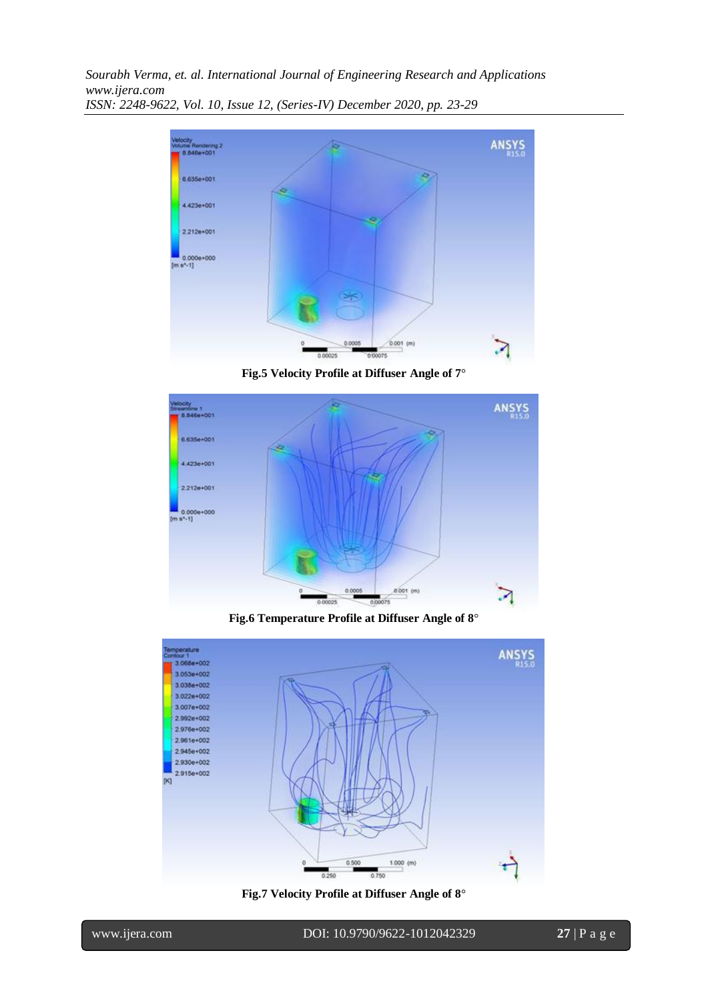

**Fig.5 Velocity Profile at Diffuser Angle of 7**°



**Fig.6 Temperature Profile at Diffuser Angle of 8**°



**Fig.7 Velocity Profile at Diffuser Angle of 8**°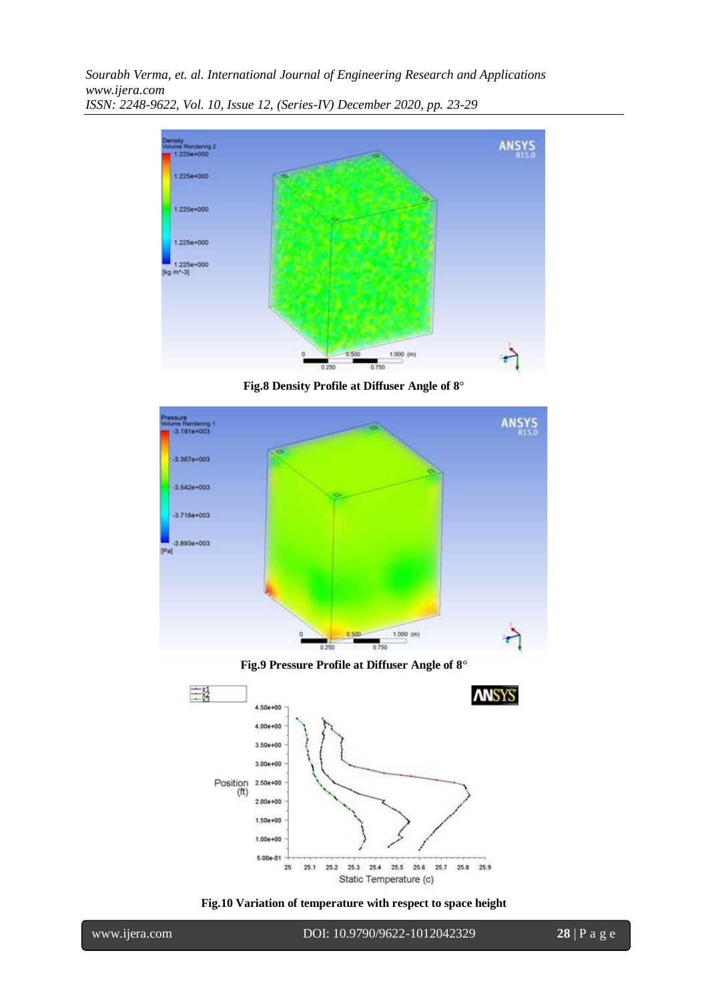

**Fig.8 Density Profile at Diffuser Angle of 8**°



**Fig.9 Pressure Profile at Diffuser Angle of 8**°